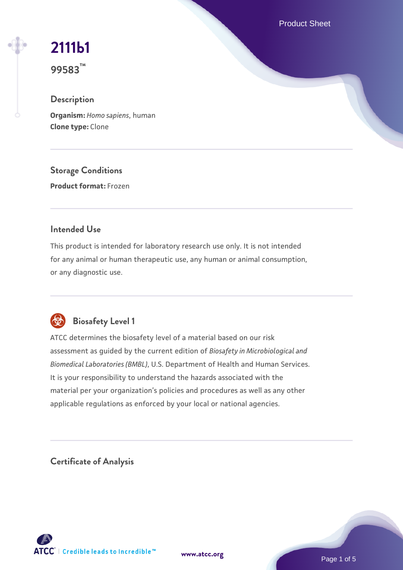Product Sheet

# **[2111b1](https://www.atcc.org/products/99583)**

**99583™**

# **Description**

**Organism:** *Homo sapiens*, human **Clone type:** Clone

**Storage Conditions**

**Product format:** Frozen

### **Intended Use**

This product is intended for laboratory research use only. It is not intended for any animal or human therapeutic use, any human or animal consumption, or any diagnostic use.



# **Biosafety Level 1**

ATCC determines the biosafety level of a material based on our risk assessment as guided by the current edition of *Biosafety in Microbiological and Biomedical Laboratories (BMBL)*, U.S. Department of Health and Human Services. It is your responsibility to understand the hazards associated with the material per your organization's policies and procedures as well as any other applicable regulations as enforced by your local or national agencies.

**Certificate of Analysis**

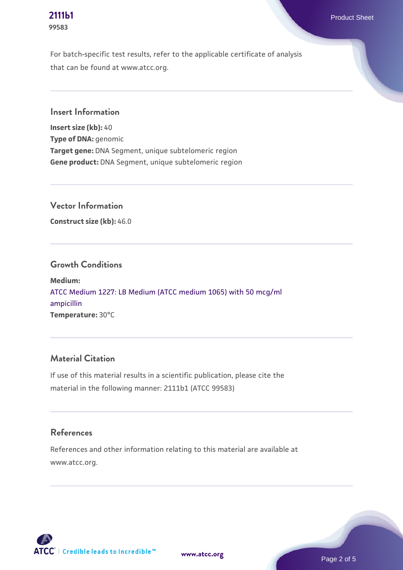# **99583**

For batch-specific test results, refer to the applicable certificate of analysis that can be found at www.atcc.org.

**Insert Information**

**Insert size (kb):** 40 **Type of DNA:** genomic **Target gene:** DNA Segment, unique subtelomeric region **Gene product:** DNA Segment, unique subtelomeric region

**Vector Information**

**Construct size (kb):** 46.0

#### **Growth Conditions**

**Medium:**  [ATCC Medium 1227: LB Medium \(ATCC medium 1065\) with 50 mcg/ml](https://www.atcc.org/-/media/product-assets/documents/microbial-media-formulations/1/2/2/7/atcc-medium-1227.pdf?rev=581c98603b3e4b29a6d62ee0ba9ca578) [ampicillin](https://www.atcc.org/-/media/product-assets/documents/microbial-media-formulations/1/2/2/7/atcc-medium-1227.pdf?rev=581c98603b3e4b29a6d62ee0ba9ca578) **Temperature:** 30°C

# **Material Citation**

If use of this material results in a scientific publication, please cite the material in the following manner: 2111b1 (ATCC 99583)

#### **References**

References and other information relating to this material are available at www.atcc.org.



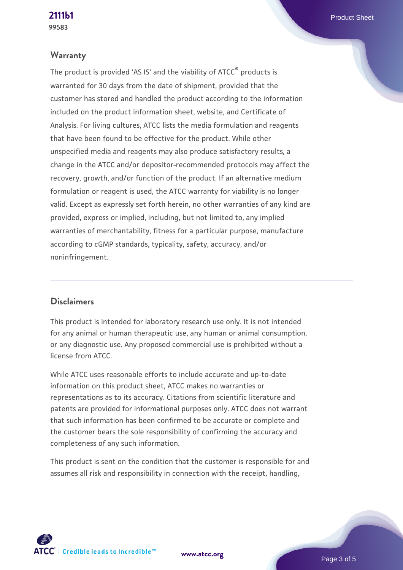#### **Warranty**

The product is provided 'AS IS' and the viability of ATCC® products is warranted for 30 days from the date of shipment, provided that the customer has stored and handled the product according to the information included on the product information sheet, website, and Certificate of Analysis. For living cultures, ATCC lists the media formulation and reagents that have been found to be effective for the product. While other unspecified media and reagents may also produce satisfactory results, a change in the ATCC and/or depositor-recommended protocols may affect the recovery, growth, and/or function of the product. If an alternative medium formulation or reagent is used, the ATCC warranty for viability is no longer valid. Except as expressly set forth herein, no other warranties of any kind are provided, express or implied, including, but not limited to, any implied warranties of merchantability, fitness for a particular purpose, manufacture according to cGMP standards, typicality, safety, accuracy, and/or noninfringement.

#### **Disclaimers**

This product is intended for laboratory research use only. It is not intended for any animal or human therapeutic use, any human or animal consumption, or any diagnostic use. Any proposed commercial use is prohibited without a license from ATCC.

While ATCC uses reasonable efforts to include accurate and up-to-date information on this product sheet, ATCC makes no warranties or representations as to its accuracy. Citations from scientific literature and patents are provided for informational purposes only. ATCC does not warrant that such information has been confirmed to be accurate or complete and the customer bears the sole responsibility of confirming the accuracy and completeness of any such information.

This product is sent on the condition that the customer is responsible for and assumes all risk and responsibility in connection with the receipt, handling,

**[www.atcc.org](http://www.atcc.org)**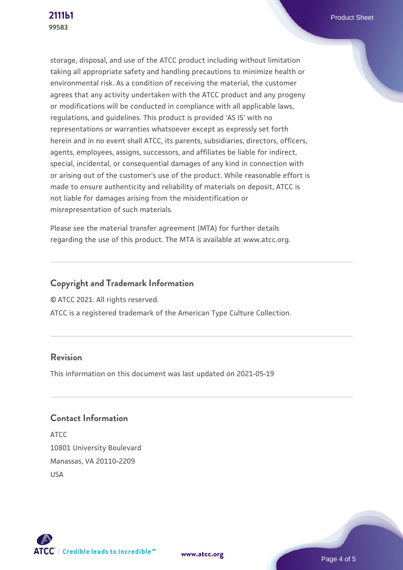storage, disposal, and use of the ATCC product including without limitation taking all appropriate safety and handling precautions to minimize health or environmental risk. As a condition of receiving the material, the customer agrees that any activity undertaken with the ATCC product and any progeny or modifications will be conducted in compliance with all applicable laws, regulations, and guidelines. This product is provided 'AS IS' with no representations or warranties whatsoever except as expressly set forth herein and in no event shall ATCC, its parents, subsidiaries, directors, officers, agents, employees, assigns, successors, and affiliates be liable for indirect, special, incidental, or consequential damages of any kind in connection with or arising out of the customer's use of the product. While reasonable effort is made to ensure authenticity and reliability of materials on deposit, ATCC is not liable for damages arising from the misidentification or misrepresentation of such materials.

Please see the material transfer agreement (MTA) for further details regarding the use of this product. The MTA is available at www.atcc.org.

# **Copyright and Trademark Information**

© ATCC 2021. All rights reserved.

ATCC is a registered trademark of the American Type Culture Collection.

#### **Revision**

This information on this document was last updated on 2021-05-19

# **Contact Information**

ATCC 10801 University Boulevard Manassas, VA 20110-2209 USA